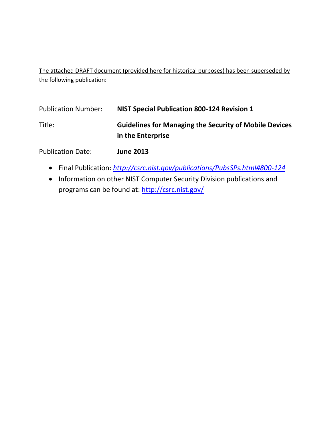The attached DRAFT document (provided here for historical purposes) has been superseded by the following publication:

| <b>Publication Number:</b> | NIST Special Publication 800-124 Revision 1                                        |
|----------------------------|------------------------------------------------------------------------------------|
| Title:                     | <b>Guidelines for Managing the Security of Mobile Devices</b><br>in the Enterprise |

Publication Date: **June 2013**

- Final Publication: *<http://csrc.nist.gov/publications/PubsSPs.html#800-124>*
- Information on other NIST Computer Security Division publications and programs can be found at:<http://csrc.nist.gov/>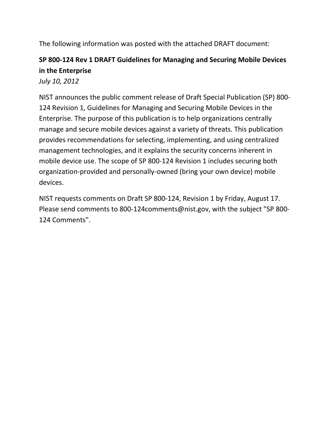The following information was posted with the attached DRAFT document:

### **SP 800-124 Rev 1 DRAFT Guidelines for Managing and Securing Mobile Devices in the Enterprise**

*July 10, 2012*

NIST announces the public comment release of Draft Special Publication (SP) 800- 124 Revision 1, Guidelines for Managing and Securing Mobile Devices in the Enterprise. The purpose of this publication is to help organizations centrally manage and secure mobile devices against a variety of threats. This publication provides recommendations for selecting, implementing, and using centralized management technologies, and it explains the security concerns inherent in mobile device use. The scope of SP 800-124 Revision 1 includes securing both organization-provided and personally-owned (bring your own device) mobile devices.

NIST requests comments on Draft SP 800-124, Revision 1 by Friday, August 17. Please send comments to 800-124comments@nist.gov, with the subject "SP 800- 124 Comments".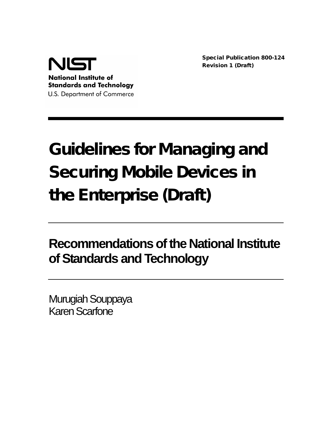

Special Publication 800-124 Revision 1 (Draft)

# Guidelines for Managing and Securing Mobile Devices in the Enterprise (Draft)

# **Recommendations of the National Institute of Standards and Technology**

Murugiah Souppaya Karen Scarfone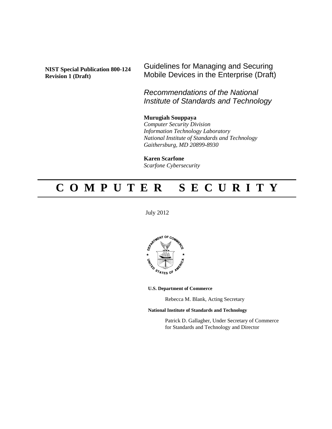**NIST Special Publication 800-124 Revision 1 (Draft)**

Guidelines for Managing and Securing Mobile Devices in the Enterprise (Draft)

*Recommendations of the National Institute of Standards and Technology*

#### **Murugiah Souppaya**

*Computer Security Division Information Technology Laboratory National Institute of Standards and Technology Gaithersburg, MD 20899-8930*

**Karen Scarfone**

*Scarfone Cybersecurity*

## **C O M P U T E R S E C U R I T Y**

July 2012



**U.S. Department of Commerce**

Rebecca M. Blank, Acting Secretary

**National Institute of Standards and Technology**

Patrick D. Gallagher, Under Secretary of Commerce for Standards and Technology and Director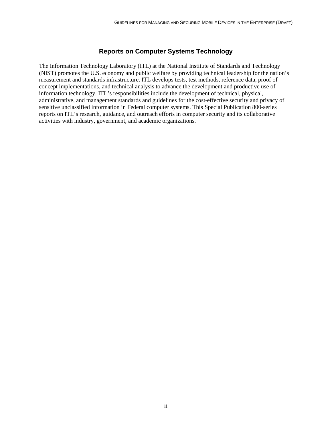#### **Reports on Computer Systems Technology**

The Information Technology Laboratory (ITL) at the National Institute of Standards and Technology (NIST) promotes the U.S. economy and public welfare by providing technical leadership for the nation's measurement and standards infrastructure. ITL develops tests, test methods, reference data, proof of concept implementations, and technical analysis to advance the development and productive use of information technology. ITL's responsibilities include the development of technical, physical, administrative, and management standards and guidelines for the cost-effective security and privacy of sensitive unclassified information in Federal computer systems. This Special Publication 800-series reports on ITL's research, guidance, and outreach efforts in computer security and its collaborative activities with industry, government, and academic organizations.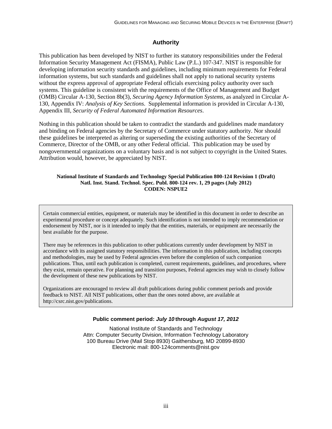#### **Authority**

This publication has been developed by NIST to further its statutory responsibilities under the Federal Information Security Management Act (FISMA), Public Law (P.L.) 107-347. NIST is responsible for developing information security standards and guidelines, including minimum requirements for Federal information systems, but such standards and guidelines shall not apply to national security systems without the express approval of appropriate Federal officials exercising policy authority over such systems. This guideline is consistent with the requirements of the Office of Management and Budget (OMB) Circular A-130, Section 8b(3), *Securing Agency Information Systems*, as analyzed in Circular A-130, Appendix IV: *Analysis of Key Sections*. Supplemental information is provided in Circular A-130, Appendix III, *Security of Federal Automated Information Resources*.

Nothing in this publication should be taken to contradict the standards and guidelines made mandatory and binding on Federal agencies by the Secretary of Commerce under statutory authority. Nor should these guidelines be interpreted as altering or superseding the existing authorities of the Secretary of Commerce, Director of the OMB, or any other Federal official. This publication may be used by nongovernmental organizations on a voluntary basis and is not subject to copyright in the United States. Attribution would, however, be appreciated by NIST.

#### **National Institute of Standards and Technology Special Publication 800-124 Revision 1 (Draft) Natl. Inst. Stand. Technol. Spec. Publ. 800-124 rev. 1, 29 pages (July 2012) CODEN: NSPUE2**

Certain commercial entities, equipment, or materials may be identified in this document in order to describe an experimental procedure or concept adequately. Such identification is not intended to imply recommendation or endorsement by NIST, nor is it intended to imply that the entities, materials, or equipment are necessarily the best available for the purpose.

There may be references in this publication to other publications currently under development by NIST in accordance with its assigned statutory responsibilities. The information in this publication, including concepts and methodologies, may be used by Federal agencies even before the completion of such companion publications. Thus, until each publication is completed, current requirements, guidelines, and procedures, where they exist, remain operative. For planning and transition purposes, Federal agencies may wish to closely follow the development of these new publications by NIST.

Organizations are encouraged to review all draft publications during public comment periods and provide feedback to NIST. All NIST publications, other than the ones noted above, are available at http://csrc.nist.gov/publications.

#### **Public comment period:** *July 10* **through** *August 17, 2012*

National Institute of Standards and Technology Attn: Computer Security Division, Information Technology Laboratory 100 Bureau Drive (Mail Stop 8930) Gaithersburg, MD 20899-8930 Electronic mail: 800-124comments@nist.gov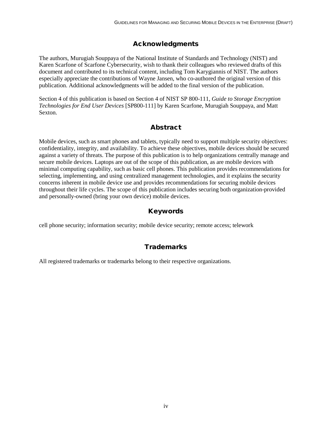#### Acknowledgments

The authors, Murugiah Souppaya of the National Institute of Standards and Technology (NIST) and Karen Scarfone of Scarfone Cybersecurity, wish to thank their colleagues who reviewed drafts of this document and contributed to its technical content, including Tom Karygiannis of NIST. The authors especially appreciate the contributions of Wayne Jansen, who co-authored the original version of this publication. Additional acknowledgments will be added to the final version of the publication.

Section 4 of this publication is based on Section 4 of NIST SP 800-111, *Guide to Storage Encryption Technologies for End User Devices* [SP800-111] by Karen Scarfone, Murugiah Souppaya, and Matt Sexton.

#### Abstract

Mobile devices, such as smart phones and tablets, typically need to support multiple security objectives: confidentiality, integrity, and availability. To achieve these objectives, mobile devices should be secured against a variety of threats. The purpose of this publication is to help organizations centrally manage and secure mobile devices. Laptops are out of the scope of this publication, as are mobile devices with minimal computing capability, such as basic cell phones. This publication provides recommendations for selecting, implementing, and using centralized management technologies, and it explains the security concerns inherent in mobile device use and provides recommendations for securing mobile devices throughout their life cycles. The scope of this publication includes securing both organization-provided and personally-owned (bring your own device) mobile devices.

#### Keywords

cell phone security; information security; mobile device security; remote access; telework

#### **Trademarks**

All registered trademarks or trademarks belong to their respective organizations.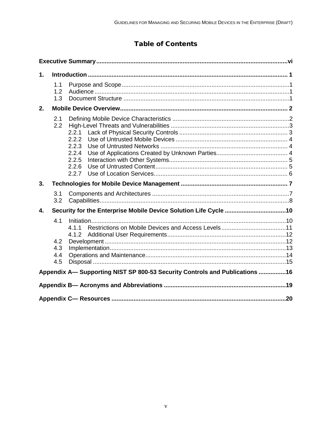#### **Table of Contents**

| $\mathbf 1$ .                                                          |                                 |                                                                            |  |  |
|------------------------------------------------------------------------|---------------------------------|----------------------------------------------------------------------------|--|--|
|                                                                        | 1.1<br>1.2<br>1.3               |                                                                            |  |  |
| 2.                                                                     |                                 |                                                                            |  |  |
|                                                                        | 2.1<br>2.2                      | 2.2.1<br>2.2.2<br>2.2.3<br>2.2.4<br>2.2.5<br>2.2.6<br>2.2.7                |  |  |
| 3.                                                                     |                                 |                                                                            |  |  |
|                                                                        | 3.1<br>3.2                      |                                                                            |  |  |
| Security for the Enterprise Mobile Device Solution Life Cycle 10<br>4. |                                 |                                                                            |  |  |
|                                                                        | 4.1<br>4.2<br>4.3<br>4.4<br>4.5 | 4.1.1<br>4.1.2                                                             |  |  |
|                                                                        |                                 | Appendix A-Supporting NIST SP 800-53 Security Controls and Publications 16 |  |  |
|                                                                        |                                 |                                                                            |  |  |
|                                                                        |                                 |                                                                            |  |  |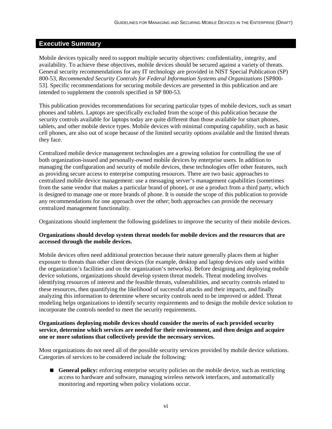#### <span id="page-8-0"></span>**Executive Summary**

Mobile devices typically need to support multiple security objectives: confidentiality, integrity, and availability. To achieve these objectives, mobile devices should be secured against a variety of threats. General security recommendations for any IT technology are provided in NIST Special Publication (SP) 800-53, *Recommended Security Controls for Federal Information Systems and Organizations* [SP800- 53]. Specific recommendations for securing mobile devices are presented in this publication and are intended to supplement the controls specified in SP 800-53.

This publication provides recommendations for securing particular types of mobile devices, such as smart phones and tablets. Laptops are specifically excluded from the scope of this publication because the security controls available for laptops today are quite different than those available for smart phones, tablets, and other mobile device types. Mobile devices with minimal computing capability, such as basic cell phones, are also out of scope because of the limited security options available and the limited threats they face.

Centralized mobile device management technologies are a growing solution for controlling the use of both organization-issued and personally-owned mobile devices by enterprise users. In addition to managing the configuration and security of mobile devices, these technologies offer other features, such as providing secure access to enterprise computing resources. There are two basic approaches to centralized mobile device management: use a messaging server's management capabilities (sometimes from the same vendor that makes a particular brand of phone), or use a product from a third party, which is designed to manage one or more brands of phone. It is outside the scope of this publication to provide any recommendations for one approach over the other; both approaches can provide the necessary centralized management functionality.

Organizations should implement the following guidelines to improve the security of their mobile devices.

#### **Organizations should develop system threat models for mobile devices and the resources that are accessed through the mobile devices.**

Mobile devices often need additional protection because their nature generally places them at higher exposure to threats than other client devices (for example, desktop and laptop devices only used within the organization's facilities and on the organization's networks). Before designing and deploying mobile device solutions, organizations should develop system threat models. Threat modeling involves identifying resources of interest and the feasible threats, vulnerabilities, and security controls related to these resources, then quantifying the likelihood of successful attacks and their impacts, and finally analyzing this information to determine where security controls need to be improved or added. Threat modeling helps organizations to identify security requirements and to design the mobile device solution to incorporate the controls needed to meet the security requirements.

#### **Organizations deploying mobile devices should consider the merits of each provided security service, determine which services are needed for their environment, and then design and acquire one or more solutions that collectively provide the necessary services.**

Most organizations do not need all of the possible security services provided by mobile device solutions. Categories of services to be considered include the following:

**General policy:** enforcing enterprise security policies on the mobile device, such as restricting access to hardware and software, managing wireless network interfaces, and automatically monitoring and reporting when policy violations occur.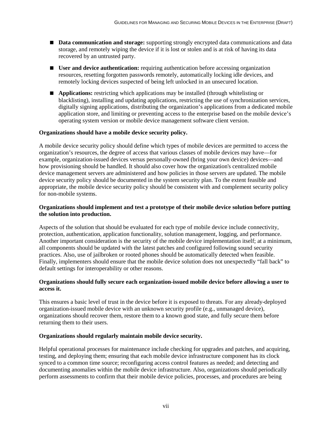- **Data communication and storage:** supporting strongly encrypted data communications and data storage, and remotely wiping the device if it is lost or stolen and is at risk of having its data recovered by an untrusted party.
- **User and device authentication:** requiring authentication before accessing organization resources, resetting forgotten passwords remotely, automatically locking idle devices, and remotely locking devices suspected of being left unlocked in an unsecured location.
- **Applications:** restricting which applications may be installed (through whitelisting or blacklisting), installing and updating applications, restricting the use of synchronization services, digitally signing applications, distributing the organization's applications from a dedicated mobile application store, and limiting or preventing access to the enterprise based on the mobile device's operating system version or mobile device management software client version.

#### **Organizations should have a mobile device security policy.**

A mobile device security policy should define which types of mobile devices are permitted to access the organization's resources, the degree of access that various classes of mobile devices may have—for example, organization-issued devices versus personally-owned (bring your own device) devices—and how provisioning should be handled. It should also cover how the organization's centralized mobile device management servers are administered and how policies in those servers are updated. The mobile device security policy should be documented in the system security plan. To the extent feasible and appropriate, the mobile device security policy should be consistent with and complement security policy for non-mobile systems.

#### **Organizations should implement and test a prototype of their mobile device solution before putting the solution into production.**

Aspects of the solution that should be evaluated for each type of mobile device include connectivity, protection, authentication, application functionality, solution management, logging, and performance. Another important consideration is the security of the mobile device implementation itself; at a minimum, all components should be updated with the latest patches and configured following sound security practices. Also, use of jailbroken or rooted phones should be automatically detected when feasible. Finally, implementers should ensure that the mobile device solution does not unexpectedly "fall back" to default settings for interoperability or other reasons.

#### **Organizations should fully secure each organization-issued mobile device before allowing a user to access it.**

This ensures a basic level of trust in the device before it is exposed to threats. For any already-deployed organization-issued mobile device with an unknown security profile (e.g., unmanaged device), organizations should recover them, restore them to a known good state, and fully secure them before returning them to their users.

#### **Organizations should regularly maintain mobile device security.**

Helpful operational processes for maintenance include checking for upgrades and patches, and acquiring, testing, and deploying them; ensuring that each mobile device infrastructure component has its clock synced to a common time source; reconfiguring access control features as needed; and detecting and documenting anomalies within the mobile device infrastructure. Also, organizations should periodically perform assessments to confirm that their mobile device policies, processes, and procedures are being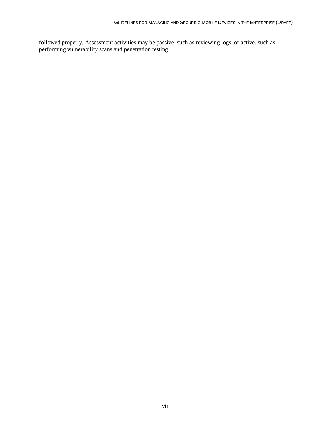followed properly. Assessment activities may be passive, such as reviewing logs, or active, such as performing vulnerability scans and penetration testing.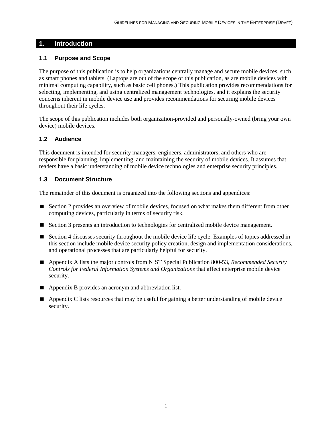#### <span id="page-11-0"></span>**1. Introduction**

#### <span id="page-11-1"></span>**1.1 Purpose and Scope**

The purpose of this publication is to help organizations centrally manage and secure mobile devices, such as smart phones and tablets. (Laptops are out of the scope of this publication, as are mobile devices with minimal computing capability, such as basic cell phones.) This publication provides recommendations for selecting, implementing, and using centralized management technologies, and it explains the security concerns inherent in mobile device use and provides recommendations for securing mobile devices throughout their life cycles.

The scope of this publication includes both organization-provided and personally-owned (bring your own device) mobile devices.

#### <span id="page-11-2"></span>**1.2 Audience**

This document is intended for security managers, engineers, administrators, and others who are responsible for planning, implementing, and maintaining the security of mobile devices. It assumes that readers have a basic understanding of mobile device technologies and enterprise security principles.

#### <span id="page-11-3"></span>**1.3 Document Structure**

The remainder of this document is organized into the following sections and appendices:

- Section 2 provides an overview of mobile devices, focused on what makes them different from other computing devices, particularly in terms of security risk.
- Section 3 presents an introduction to technologies for centralized mobile device management.
- Section 4 discusses security throughout the mobile device life cycle. Examples of topics addressed in this section include mobile device security policy creation, design and implementation considerations, and operational processes that are particularly helpful for security.
- Appendix A lists the major controls from NIST Special Publication 800-53, *Recommended Security Controls for Federal Information Systems and Organizations* that affect enterprise mobile device security.
- Appendix B provides an acronym and abbreviation list.
- **Appendix C** lists resources that may be useful for gaining a better understanding of mobile device security.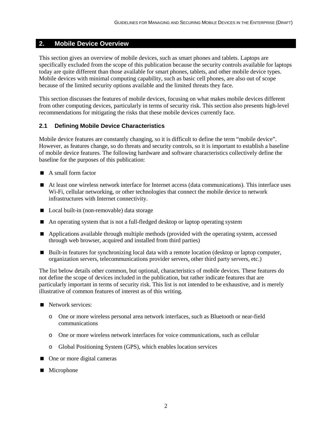#### <span id="page-12-0"></span>**2. Mobile Device Overview**

This section gives an overview of mobile devices, such as smart phones and tablets. Laptops are specifically excluded from the scope of this publication because the security controls available for laptops today are quite different than those available for smart phones, tablets, and other mobile device types. Mobile devices with minimal computing capability, such as basic cell phones, are also out of scope because of the limited security options available and the limited threats they face.

This section discusses the features of mobile devices, focusing on what makes mobile devices different from other computing devices, particularly in terms of security risk. This section also presents high-level recommendations for mitigating the risks that these mobile devices currently face.

#### <span id="page-12-1"></span>**2.1 Defining Mobile Device Characteristics**

Mobile device features are constantly changing, so it is difficult to define the term "mobile device". However, as features change, so do threats and security controls, so it is important to establish a baseline of mobile device features. The following hardware and software characteristics collectively define the baseline for the purposes of this publication:

- A small form factor
- At least one wireless network interface for Internet access (data communications). This interface uses Wi-Fi, cellular networking, or other technologies that connect the mobile device to network infrastructures with Internet connectivity.
- Local built-in (non-removable) data storage
- An operating system that is not a full-fledged desktop or laptop operating system
- **Applications available through multiple methods (provided with the operating system, accessed** through web browser, acquired and installed from third parties)
- Built-in features for synchronizing local data with a remote location (desktop or laptop computer, organization servers, telecommunications provider servers, other third party servers, etc.)

The list below details other common, but optional, characteristics of mobile devices. These features do not define the scope of devices included in the publication, but rather indicate features that are particularly important in terms of security risk. This list is not intended to be exhaustive, and is merely illustrative of common features of interest as of this writing.

- Network services:
	- o One or more wireless personal area network interfaces, such as Bluetooth or near-field communications
	- o One or more wireless network interfaces for voice communications, such as cellular
	- o Global Positioning System (GPS), which enables location services
- One or more digital cameras
- Microphone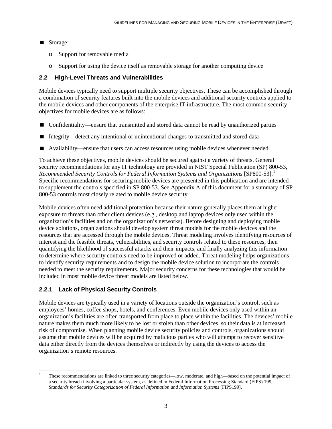#### Storage:

- o Support for removable media
- o Support for using the device itself as removable storage for another computing device

#### <span id="page-13-0"></span>**2.2 High-Level Threats and Vulnerabilities**

Mobile devices typically need to support multiple security objectives. These can be accomplished through a combination of security features built into the mobile devices and additional security controls applied to the mobile devices and other components of the enterprise IT infrastructure. The most common security objectives for mobile devices are as follows:

- Confidentiality—ensure that transmitted and stored data cannot be read by unauthorized parties
- Integrity—detect any intentional or unintentional changes to transmitted and stored data
- Availability—ensure that users can access resources using mobile devices whenever needed.

To achieve these objectives, mobile devices should be secured against a variety of threats. General security recommendations for any IT technology are provided in NIST Special Publication (SP) 800-53, *Recommended Security Controls for Federal Information Systems and Organizations* [SP800-53]. [1](#page-13-2) Specific recommendations for securing mobile devices are presented in this publication and are intended to supplement the controls specified in SP 800-53. See Appendix A of this document for a summary of SP 800-53 controls most closely related to mobile device security.

Mobile devices often need additional protection because their nature generally places them at higher exposure to threats than other client devices (e.g., desktop and laptop devices only used within the organization's facilities and on the organization's networks). Before designing and deploying mobile device solutions, organizations should develop system threat models for the mobile devices and the resources that are accessed through the mobile devices. Threat modeling involves identifying resources of interest and the feasible threats, vulnerabilities, and security controls related to these resources, then quantifying the likelihood of successful attacks and their impacts, and finally analyzing this information to determine where security controls need to be improved or added. Threat modeling helps organizations to identify security requirements and to design the mobile device solution to incorporate the controls needed to meet the security requirements. Major security concerns for these technologies that would be included in most mobile device threat models are listed below.

#### <span id="page-13-1"></span>**2.2.1 Lack of Physical Security Controls**

Mobile devices are typically used in a variety of locations outside the organization's control, such as employees' homes, coffee shops, hotels, and conferences. Even mobile devices only used within an organization's facilities are often transported from place to place within the facilities. The devices' mobile nature makes them much more likely to be lost or stolen than other devices, so their data is at increased risk of compromise. When planning mobile device security policies and controls, organizations should assume that mobile devices will be acquired by malicious parties who will attempt to recover sensitive data either directly from the devices themselves or indirectly by using the devices to access the organization's remote resources.

<span id="page-13-2"></span> <sup>1</sup> These recommendations are linked to three security categories—low, moderate, and high—based on the potential impact of a security breach involving a particular system, as defined in Federal Information Processing Standard (FIPS) 199, *Standards for Security Categorization of Federal Information and Information Systems* [FIPS199].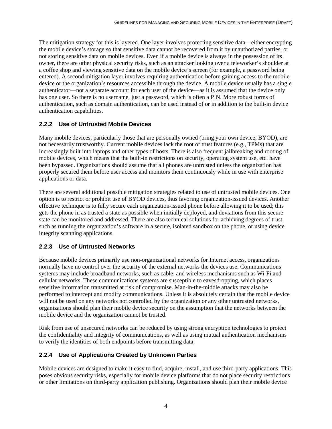The mitigation strategy for this is layered. One layer involves protecting sensitive data—either encrypting the mobile device's storage so that sensitive data cannot be recovered from it by unauthorized parties, or not storing sensitive data on mobile devices. Even if a mobile device is always in the possession of its owner, there are other physical security risks, such as an attacker looking over a teleworker's shoulder at a coffee shop and viewing sensitive data on the mobile device's screen (for example, a password being entered). A second mitigation layer involves requiring authentication before gaining access to the mobile device or the organization's resources accessible through the device. A mobile device usually has a single authenticator—not a separate account for each user of the device—as it is assumed that the device only has one user. So there is no username, just a password, which is often a PIN. More robust forms of authentication, such as domain authentication, can be used instead of or in addition to the built-in device authentication capabilities.

#### <span id="page-14-0"></span>**2.2.2 Use of Untrusted Mobile Devices**

Many mobile devices, particularly those that are personally owned (bring your own device, BYOD), are not necessarily trustworthy. Current mobile devices lack the root of trust features (e.g., TPMs) that are increasingly built into laptops and other types of hosts. There is also frequent jailbreaking and rooting of mobile devices, which means that the built-in restrictions on security, operating system use, etc. have been bypassed. Organizations should assume that all phones are untrusted unless the organization has properly secured them before user access and monitors them continuously while in use with enterprise applications or data.

There are several additional possible mitigation strategies related to use of untrusted mobile devices. One option is to restrict or prohibit use of BYOD devices, thus favoring organization-issued devices. Another effective technique is to fully secure each organization-issued phone before allowing it to be used; this gets the phone in as trusted a state as possible when initially deployed, and deviations from this secure state can be monitored and addressed. There are also technical solutions for achieving degrees of trust, such as running the organization's software in a secure, isolated sandbox on the phone, or using device integrity scanning applications.

#### <span id="page-14-1"></span>**2.2.3 Use of Untrusted Networks**

Because mobile devices primarily use non-organizational networks for Internet access, organizations normally have no control over the security of the external networks the devices use. Communications systems may include broadband networks, such as cable, and wireless mechanisms such as Wi-Fi and cellular networks. These communications systems are susceptible to eavesdropping, which places sensitive information transmitted at risk of compromise. Man-in-the-middle attacks may also be performed to intercept and modify communications. Unless it is absolutely certain that the mobile device will not be used on any networks not controlled by the organization or any other untrusted networks, organizations should plan their mobile device security on the assumption that the networks between the mobile device and the organization cannot be trusted.

Risk from use of unsecured networks can be reduced by using strong encryption technologies to protect the confidentiality and integrity of communications, as well as using mutual authentication mechanisms to verify the identities of both endpoints before transmitting data.

#### <span id="page-14-2"></span>**2.2.4 Use of Applications Created by Unknown Parties**

Mobile devices are designed to make it easy to find, acquire, install, and use third-party applications. This poses obvious security risks, especially for mobile device platforms that do not place security restrictions or other limitations on third-party application publishing. Organizations should plan their mobile device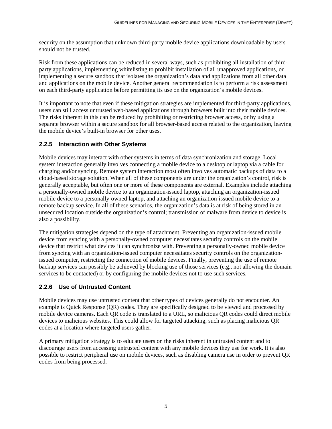security on the assumption that unknown third-party mobile device applications downloadable by users should not be trusted.

Risk from these applications can be reduced in several ways, such as prohibiting all installation of thirdparty applications, implementing whitelisting to prohibit installation of all unapproved applications, or implementing a secure sandbox that isolates the organization's data and applications from all other data and applications on the mobile device. Another general recommendation is to perform a risk assessment on each third-party application before permitting its use on the organization's mobile devices.

It is important to note that even if these mitigation strategies are implemented for third-party applications, users can still access untrusted web-based applications through browsers built into their mobile devices. The risks inherent in this can be reduced by prohibiting or restricting browser access, or by using a separate browser within a secure sandbox for all browser-based access related to the organization, leaving the mobile device's built-in browser for other uses.

#### <span id="page-15-0"></span>**2.2.5 Interaction with Other Systems**

Mobile devices may interact with other systems in terms of data synchronization and storage. Local system interaction generally involves connecting a mobile device to a desktop or laptop via a cable for charging and/or syncing. Remote system interaction most often involves automatic backups of data to a cloud-based storage solution. When all of these components are under the organization's control, risk is generally acceptable, but often one or more of these components are external. Examples include attaching a personally-owned mobile device to an organization-issued laptop, attaching an organization-issued mobile device to a personally-owned laptop, and attaching an organization-issued mobile device to a remote backup service. In all of these scenarios, the organization's data is at risk of being stored in an unsecured location outside the organization's control; transmission of malware from device to device is also a possibility.

The mitigation strategies depend on the type of attachment. Preventing an organization-issued mobile device from syncing with a personally-owned computer necessitates security controls on the mobile device that restrict what devices it can synchronize with. Preventing a personally-owned mobile device from syncing with an organization-issued computer necessitates security controls on the organizationissued computer, restricting the connection of mobile devices. Finally, preventing the use of remote backup services can possibly be achieved by blocking use of those services (e.g., not allowing the domain services to be contacted) or by configuring the mobile devices not to use such services.

#### <span id="page-15-1"></span>**2.2.6 Use of Untrusted Content**

Mobile devices may use untrusted content that other types of devices generally do not encounter. An example is Quick Response (QR) codes. They are specifically designed to be viewed and processed by mobile device cameras. Each QR code is translated to a URL, so malicious QR codes could direct mobile devices to malicious websites. This could allow for targeted attacking, such as placing malicious QR codes at a location where targeted users gather.

A primary mitigation strategy is to educate users on the risks inherent in untrusted content and to discourage users from accessing untrusted content with any mobile devices they use for work. It is also possible to restrict peripheral use on mobile devices, such as disabling camera use in order to prevent QR codes from being processed.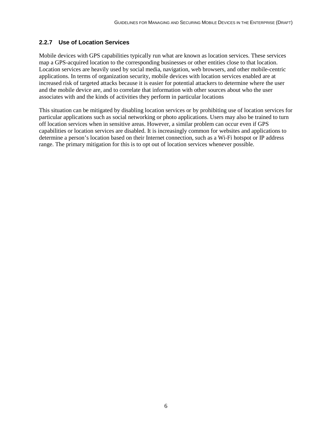#### <span id="page-16-0"></span>**2.2.7 Use of Location Services**

Mobile devices with GPS capabilities typically run what are known as location services. These services map a GPS-acquired location to the corresponding businesses or other entities close to that location. Location services are heavily used by social media, navigation, web browsers, and other mobile-centric applications. In terms of organization security, mobile devices with location services enabled are at increased risk of targeted attacks because it is easier for potential attackers to determine where the user and the mobile device are, and to correlate that information with other sources about who the user associates with and the kinds of activities they perform in particular locations

This situation can be mitigated by disabling location services or by prohibiting use of location services for particular applications such as social networking or photo applications. Users may also be trained to turn off location services when in sensitive areas. However, a similar problem can occur even if GPS capabilities or location services are disabled. It is increasingly common for websites and applications to determine a person's location based on their Internet connection, such as a Wi-Fi hotspot or IP address range. The primary mitigation for this is to opt out of location services whenever possible.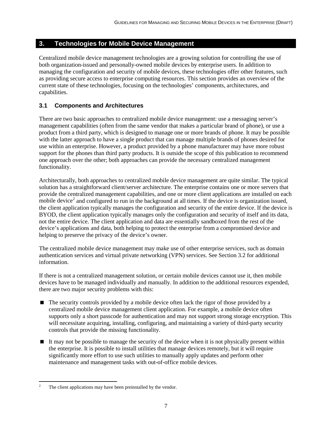#### <span id="page-17-0"></span>**3. Technologies for Mobile Device Management**

Centralized mobile device management technologies are a growing solution for controlling the use of both organization-issued and personally-owned mobile devices by enterprise users. In addition to managing the configuration and security of mobile devices, these technologies offer other features, such as providing secure access to enterprise computing resources. This section provides an overview of the current state of these technologies, focusing on the technologies' components, architectures, and capabilities.

#### <span id="page-17-1"></span>**3.1 Components and Architectures**

There are two basic approaches to centralized mobile device management: use a messaging server's management capabilities (often from the same vendor that makes a particular brand of phone), or use a product from a third party, which is designed to manage one or more brands of phone. It may be possible with the latter approach to have a single product that can manage multiple brands of phones desired for use within an enterprise. However, a product provided by a phone manufacturer may have more robust support for the phones than third party products. It is outside the scope of this publication to recommend one approach over the other; both approaches can provide the necessary centralized management functionality.

Architecturally, both approaches to centralized mobile device management are quite similar. The typical solution has a straightforward client/server architecture. The enterprise contains one or more servers that provide the centralized management capabilities, and one or more client applications are installed on each mobile device<sup>[2](#page-17-2)</sup> and configured to run in the background at all times. If the device is organization issued, the client application typically manages the configuration and security of the entire device. If the device is BYOD, the client application typically manages only the configuration and security of itself and its data, not the entire device. The client application and data are essentially sandboxed from the rest of the device's applications and data, both helping to protect the enterprise from a compromised device and helping to preserve the privacy of the device's owner.

The centralized mobile device management may make use of other enterprise services, such as domain authentication services and virtual private networking (VPN) services. See Section 3.2 for additional information.

If there is not a centralized management solution, or certain mobile devices cannot use it, then mobile devices have to be managed individually and manually. In addition to the additional resources expended, there are two major security problems with this:

- The security controls provided by a mobile device often lack the rigor of those provided by a centralized mobile device management client application. For example, a mobile device often supports only a short passcode for authentication and may not support strong storage encryption. This will necessitate acquiring, installing, configuring, and maintaining a variety of third-party security controls that provide the missing functionality.
- $\blacksquare$  It may not be possible to manage the security of the device when it is not physically present within the enterprise. It is possible to install utilities that manage devices remotely, but it will require significantly more effort to use such utilities to manually apply updates and perform other maintenance and management tasks with out-of-office mobile devices.

<span id="page-17-2"></span>The client applications may have been preinstalled by the vendor.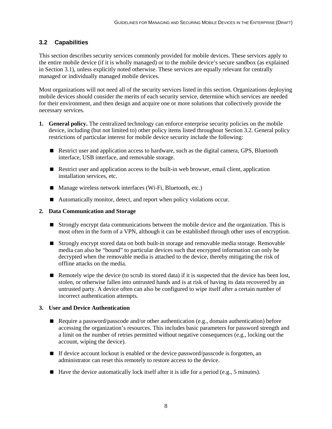#### <span id="page-18-0"></span>**3.2 Capabilities**

This section describes security services commonly provided for mobile devices. These services apply to the entire mobile device (if it is wholly managed) or to the mobile device's secure sandbox (as explained in Section 3.1), unless explicitly noted otherwise. These services are equally relevant for centrally managed or individually managed mobile devices.

Most organizations will not need all of the security services listed in this section. Organizations deploying mobile devices should consider the merits of each security service, determine which services are needed for their environment, and then design and acquire one or more solutions that collectively provide the necessary services.

- **1.** General policy. The centralized technology can enforce enterprise security policies on the mobile device, including (but not limited to) other policy items listed throughout Section 3.2. General policy restrictions of particular interest for mobile device security include the following:
	- Restrict user and application access to hardware, such as the digital camera, GPS, Bluetooth interface, USB interface, and removable storage.
	- Restrict user and application access to the built-in web browser, email client, application installation services, etc.
	- Manage wireless network interfaces (Wi-Fi, Bluetooth, etc.)
	- Automatically monitor, detect, and report when policy violations occur.

#### **2. Data Communication and Storage**

- Strongly encrypt data communications between the mobile device and the organization. This is most often in the form of a VPN, although it can be established through other uses of encryption.
- Strongly encrypt stored data on both built-in storage and removable media storage. Removable media can also be "bound" to particular devices such that encrypted information can only be decrypted when the removable media is attached to the device, thereby mitigating the risk of offline attacks on the media.
- Remotely wipe the device (to scrub its stored data) if it is suspected that the device has been lost, stolen, or otherwise fallen into untrusted hands and is at risk of having its data recovered by an untrusted party. A device often can also be configured to wipe itself after a certain number of incorrect authentication attempts.

#### **3. User and Device Authentication**

- Require a password/passcode and/or other authentication (e.g., domain authentication) before accessing the organization's resources. This includes basic parameters for password strength and a limit on the number of retries permitted without negative consequences (e.g., locking out the account, wiping the device).
- $\blacksquare$  If device account lockout is enabled or the device password/passcode is forgotten, an administrator can reset this remotely to restore access to the device.
- $\blacksquare$  Have the device automatically lock itself after it is idle for a period (e.g., 5 minutes).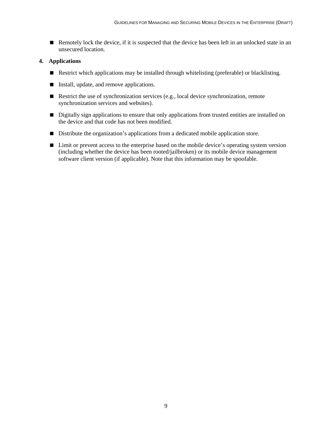Remotely lock the device, if it is suspected that the device has been left in an unlocked state in an unsecured location.

#### **4. Applications**

- Restrict which applications may be installed through whitelisting (preferable) or blacklisting.
- Install, update, and remove applications.
- Restrict the use of synchronization services (e.g., local device synchronization, remote synchronization services and websites).
- Digitally sign applications to ensure that only applications from trusted entities are installed on the device and that code has not been modified.
- **Distribute the organization's applications from a dedicated mobile application store.**
- Limit or prevent access to the enterprise based on the mobile device's operating system version (including whether the device has been rooted/jailbroken) or its mobile device management software client version (if applicable). Note that this information may be spoofable.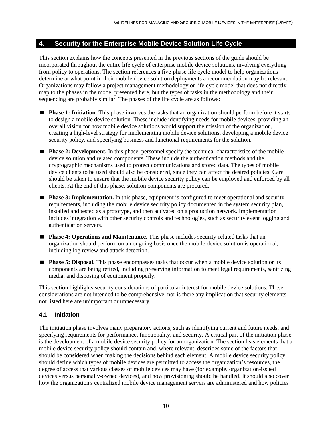#### <span id="page-20-0"></span>**4. Security for the Enterprise Mobile Device Solution Life Cycle**

This section explains how the concepts presented in the previous sections of the guide should be incorporated throughout the entire life cycle of enterprise mobile device solutions, involving everything from policy to operations. The section references a five-phase life cycle model to help organizations determine at what point in their mobile device solution deployments a recommendation may be relevant. Organizations may follow a project management methodology or life cycle model that does not directly map to the phases in the model presented here, but the types of tasks in the methodology and their sequencing are probably similar. The phases of the life cycle are as follows:

- **Phase 1: Initiation.** This phase involves the tasks that an organization should perform before it starts to design a mobile device solution. These include identifying needs for mobile devices, providing an overall vision for how mobile device solutions would support the mission of the organization, creating a high-level strategy for implementing mobile device solutions, developing a mobile device security policy, and specifying business and functional requirements for the solution.
- **Phase 2: Development.** In this phase, personnel specify the technical characteristics of the mobile device solution and related components. These include the authentication methods and the cryptographic mechanisms used to protect communications and stored data. The types of mobile device clients to be used should also be considered, since they can affect the desired policies. Care should be taken to ensure that the mobile device security policy can be employed and enforced by all clients. At the end of this phase, solution components are procured.
- **Phase 3: Implementation.** In this phase, equipment is configured to meet operational and security requirements, including the mobile device security policy documented in the system security plan, installed and tested as a prototype, and then activated on a production network. Implementation includes integration with other security controls and technologies, such as security event logging and authentication servers.
- **Phase 4: Operations and Maintenance.** This phase includes security-related tasks that an organization should perform on an ongoing basis once the mobile device solution is operational, including log review and attack detection.
- **Phase 5: Disposal.** This phase encompasses tasks that occur when a mobile device solution or its components are being retired, including preserving information to meet legal requirements, sanitizing media, and disposing of equipment properly.

This section highlights security considerations of particular interest for mobile device solutions. These considerations are not intended to be comprehensive, nor is there any implication that security elements not listed here are unimportant or unnecessary.

#### <span id="page-20-1"></span>**4.1 Initiation**

The initiation phase involves many preparatory actions, such as identifying current and future needs, and specifying requirements for performance, functionality, and security. A critical part of the initiation phase is the development of a mobile device security policy for an organization. The section lists elements that a mobile device security policy should contain and, where relevant, describes some of the factors that should be considered when making the decisions behind each element. A mobile device security policy should define which types of mobile devices are permitted to access the organization's resources, the degree of access that various classes of mobile devices may have (for example, organization-issued devices versus personally-owned devices), and how provisioning should be handled. It should also cover how the organization's centralized mobile device management servers are administered and how policies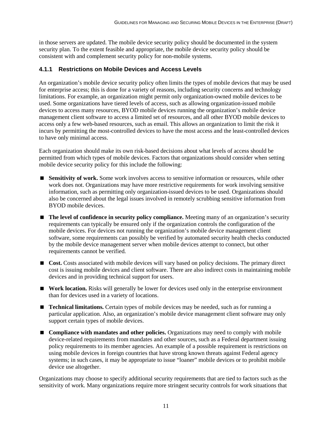in those servers are updated. The mobile device security policy should be documented in the system security plan. To the extent feasible and appropriate, the mobile device security policy should be consistent with and complement security policy for non-mobile systems.

#### <span id="page-21-0"></span>**4.1.1 Restrictions on Mobile Devices and Access Levels**

An organization's mobile device security policy often limits the types of mobile devices that may be used for enterprise access; this is done for a variety of reasons, including security concerns and technology limitations. For example, an organization might permit only organization-owned mobile devices to be used. Some organizations have tiered levels of access, such as allowing organization-issued mobile devices to access many resources, BYOD mobile devices running the organization's mobile device management client software to access a limited set of resources, and all other BYOD mobile devices to access only a few web-based resources, such as email. This allows an organization to limit the risk it incurs by permitting the most-controlled devices to have the most access and the least-controlled devices to have only minimal access.

Each organization should make its own risk-based decisions about what levels of access should be permitted from which types of mobile devices. Factors that organizations should consider when setting mobile device security policy for this include the following:

- **Sensitivity of work.** Some work involves access to sensitive information or resources, while other work does not. Organizations may have more restrictive requirements for work involving sensitive information, such as permitting only organization-issued devices to be used. Organizations should also be concerned about the legal issues involved in remotely scrubbing sensitive information from BYOD mobile devices.
- **The level of confidence in security policy compliance.** Meeting many of an organization's security requirements can typically be ensured only if the organization controls the configuration of the mobile devices. For devices not running the organization's mobile device management client software, some requirements can possibly be verified by automated security health checks conducted by the mobile device management server when mobile devices attempt to connect, but other requirements cannot be verified.
- **Cost.** Costs associated with mobile devices will vary based on policy decisions. The primary direct cost is issuing mobile devices and client software. There are also indirect costs in maintaining mobile devices and in providing technical support for users.
- **Work location.** Risks will generally be lower for devices used only in the enterprise environment than for devices used in a variety of locations.
- **Technical limitations.** Certain types of mobile devices may be needed, such as for running a particular application. Also, an organization's mobile device management client software may only support certain types of mobile devices.
- **Compliance with mandates and other policies.** Organizations may need to comply with mobile device-related requirements from mandates and other sources, such as a Federal department issuing policy requirements to its member agencies. An example of a possible requirement is restrictions on using mobile devices in foreign countries that have strong known threats against Federal agency systems; in such cases, it may be appropriate to issue "loaner" mobile devices or to prohibit mobile device use altogether.

Organizations may choose to specify additional security requirements that are tied to factors such as the sensitivity of work. Many organizations require more stringent security controls for work situations that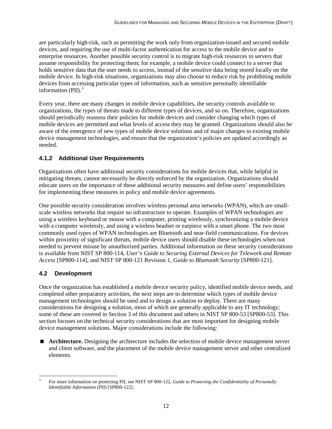are particularly high-risk, such as permitting the work only from organization-issued and secured mobile devices, and requiring the use of multi-factor authentication for access to the mobile device and to enterprise resources. Another possible security control is to migrate high-risk resources to servers that assume responsibility for protecting them; for example, a mobile device could connect to a server that holds sensitive data that the user needs to access, instead of the sensitive data being stored locally on the mobile device. In high-risk situations, organizations may also choose to reduce risk by prohibiting mobile devices from accessing particular types of information, such as sensitive personally identifiable information  $(PII)<sup>3</sup>$  $(PII)<sup>3</sup>$  $(PII)<sup>3</sup>$ 

Every year, there are many changes in mobile device capabilities, the security controls available to organizations, the types of threats made to different types of devices, and so on. Therefore, organizations should periodically reassess their policies for mobile devices and consider changing which types of mobile devices are permitted and what levels of access they may be granted. Organizations should also be aware of the emergence of new types of mobile device solutions and of major changes to existing mobile device management technologies, and ensure that the organization's policies are updated accordingly as needed.

#### <span id="page-22-0"></span>**4.1.2 Additional User Requirements**

Organizations often have additional security considerations for mobile devices that, while helpful in mitigating threats, cannot necessarily be directly enforced by the organization. Organizations should educate users on the importance of these additional security measures and define users' responsibilities for implementing these measures in policy and mobile device agreements.

One possible security consideration involves wireless personal area networks (WPAN), which are smallscale wireless networks that require no infrastructure to operate. Examples of WPAN technologies are using a wireless keyboard or mouse with a computer, printing wirelessly, synchronizing a mobile device with a computer wirelessly, and using a wireless headset or earpiece with a smart phone. The two most commonly used types of WPAN technologies are Bluetooth and near-field communications. For devices within proximity of significant threats, mobile device users should disable these technologies when not needed to prevent misuse by unauthorized parties. Additional information on these security considerations is available from NIST SP 800-114, *User's Guide to Securing External Devices for Telework and Remote Access* [SP800-114], and NIST SP 800-121 Revision 1, *Guide to Bluetooth Security* [SP800-121].

#### <span id="page-22-1"></span>**4.2 Development**

Once the organization has established a mobile device security policy, identified mobile device needs, and completed other preparatory activities, the next steps are to determine which types of mobile device management technologies should be used and to design a solution to deploy. There are many considerations for designing a solution, most of which are generally applicable to any IT technology; some of these are covered in Section 3 of this document and others in NIST SP 800-53 [SP800-53]. This section focuses on the technical security considerations that are most important for designing mobile device management solutions. Major considerations include the following:

**Architecture.** Designing the architecture includes the selection of mobile device management server and client software, and the placement of the mobile device management server and other centralized elements.

<span id="page-22-2"></span> <sup>3</sup> For more information on protecting PII, see NIST SP 800-122, *Guide to Protecting the Confidentiality of Personally Identifiable Information (PII)* [SP800-122].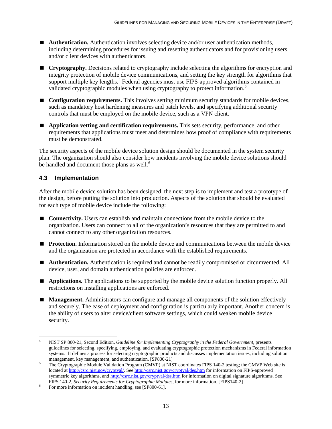- **Authentication.** Authentication involves selecting device and/or user authentication methods, including determining procedures for issuing and resetting authenticators and for provisioning users and/or client devices with authenticators.
- **Cryptography.** Decisions related to cryptography include selecting the algorithms for encryption and integrity protection of mobile device communications, and setting the key strength for algorithms that support multiple key lengths.<sup>[4](#page-23-1)</sup> Federal agencies must use FIPS-approved algorithms contained in validated cryptographic modules when using cryptography to protect information.<sup>[5](#page-23-2)</sup>
- **Configuration requirements.** This involves setting minimum security standards for mobile devices, such as mandatory host hardening measures and patch levels, and specifying additional security controls that must be employed on the mobile device, such as a VPN client.
- **Application vetting and certification requirements.** This sets security, performance, and other requirements that applications must meet and determines how proof of compliance with requirements must be demonstrated.

The security aspects of the mobile device solution design should be documented in the system security plan. The organization should also consider how incidents involving the mobile device solutions should be handled and document those plans as well.<sup>[6](#page-23-3)</sup>

#### <span id="page-23-0"></span>**4.3 Implementation**

After the mobile device solution has been designed, the next step is to implement and test a prototype of the design, before putting the solution into production. Aspects of the solution that should be evaluated for each type of mobile device include the following:

- **Connectivity.** Users can establish and maintain connections from the mobile device to the organization. Users can connect to all of the organization's resources that they are permitted to and cannot connect to any other organization resources.
- **Protection.** Information stored on the mobile device and communications between the mobile device and the organization are protected in accordance with the established requirements.
- **Authentication.** Authentication is required and cannot be readily compromised or circumvented. All device, user, and domain authentication policies are enforced.
- **Applications.** The applications to be supported by the mobile device solution function properly. All restrictions on installing applications are enforced.
- **Management.** Administrators can configure and manage all components of the solution effectively and securely. The ease of deployment and configuration is particularly important. Another concern is the ability of users to alter device/client software settings, which could weaken mobile device security.

<span id="page-23-1"></span>NIST SP 800-21, Second Edition, *Guideline for Implementing Cryptography in the Federal Government*, presents guidelines for selecting, specifying, employing, and evaluating cryptographic protection mechanisms in Federal information systems. It defines a process for selecting cryptographic products and discusses implementation issues, including solution

<span id="page-23-2"></span>management, key management, and authentication. [SP800-21]<br>The Cryptographic Module Validation Program (CMVP) at NIST coordinates FIPS 140-2 testing; the CMVP Web site is located at [http://csrc.nist.gov/cryptval/.](http://csrc.nist.gov/cryptval/) Se[e http://csrc.nist.gov/cryptval/des.htm](http://csrc.nist.gov/cryptval/des.htm) for information on FIPS-approved symmetric key algorithms, an[d http://csrc.nist.gov/cryptval/dss.htm](http://csrc.nist.gov/cryptval/dss.htm) for information on digital signature algorithms. See FIPS 140-2, *Security Requirements for Cryptographic Modules*, for more information. [FIPS140-2] For more information on incident handling, see [SP800-61].

<span id="page-23-3"></span>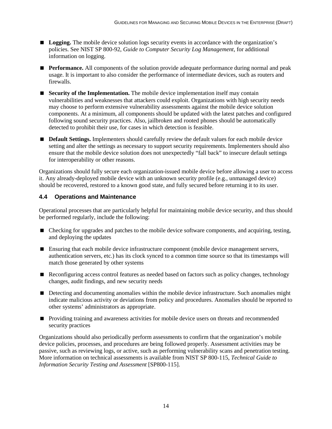- **Logging.** The mobile device solution logs security events in accordance with the organization's policies. See NIST SP 800-92, *Guide to Computer Security Log Management*, for additional information on logging.
- **Performance.** All components of the solution provide adequate performance during normal and peak usage. It is important to also consider the performance of intermediate devices, such as routers and firewalls.
- **Security of the Implementation.** The mobile device implementation itself may contain vulnerabilities and weaknesses that attackers could exploit. Organizations with high security needs may choose to perform extensive vulnerability assessments against the mobile device solution components. At a minimum, all components should be updated with the latest patches and configured following sound security practices. Also, jailbroken and rooted phones should be automatically detected to prohibit their use, for cases in which detection is feasible.
- **Default Settings.** Implementers should carefully review the default values for each mobile device setting and alter the settings as necessary to support security requirements. Implementers should also ensure that the mobile device solution does not unexpectedly "fall back" to insecure default settings for interoperability or other reasons.

Organizations should fully secure each organization-issued mobile device before allowing a user to access it. Any already-deployed mobile device with an unknown security profile (e.g., unmanaged device) should be recovered, restored to a known good state, and fully secured before returning it to its user.

#### <span id="page-24-0"></span>**4.4 Operations and Maintenance**

Operational processes that are particularly helpful for maintaining mobile device security, and thus should be performed regularly, include the following:

- Checking for upgrades and patches to the mobile device software components, and acquiring, testing, and deploying the updates
- Ensuring that each mobile device infrastructure component (mobile device management servers, authentication servers, etc.) has its clock synced to a common time source so that its timestamps will match those generated by other systems
- Reconfiguring access control features as needed based on factors such as policy changes, technology changes, audit findings, and new security needs
- Detecting and documenting anomalies within the mobile device infrastructure. Such anomalies might indicate malicious activity or deviations from policy and procedures. Anomalies should be reported to other systems' administrators as appropriate.
- **Providing training and awareness activities for mobile device users on threats and recommended** security practices

Organizations should also periodically perform assessments to confirm that the organization's mobile device policies, processes, and procedures are being followed properly. Assessment activities may be passive, such as reviewing logs, or active, such as performing vulnerability scans and penetration testing. More information on technical assessments is available from NIST SP 800-115, *Technical Guide to Information Security Testing and Assessment* [SP800-115].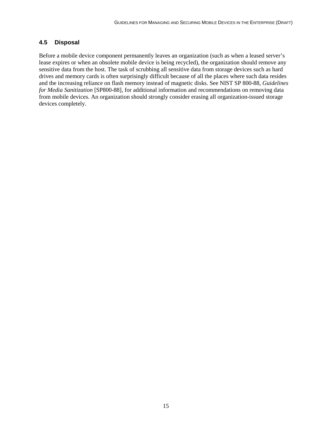#### <span id="page-25-0"></span>**4.5 Disposal**

Before a mobile device component permanently leaves an organization (such as when a leased server's lease expires or when an obsolete mobile device is being recycled), the organization should remove any sensitive data from the host. The task of scrubbing all sensitive data from storage devices such as hard drives and memory cards is often surprisingly difficult because of all the places where such data resides and the increasing reliance on flash memory instead of magnetic disks. See NIST SP 800-88, *Guidelines for Media Sanitization* [SP800-88], for additional information and recommendations on removing data from mobile devices. An organization should strongly consider erasing all organization-issued storage devices completely.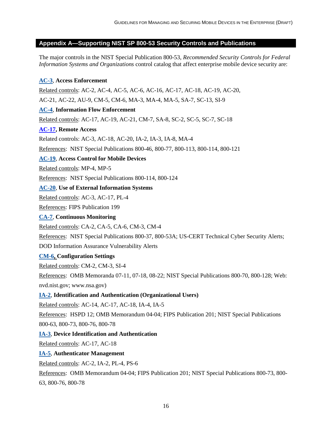#### <span id="page-26-0"></span>**Appendix A—Supporting NIST SP 800-53 Security Controls and Publications**

The major controls in the NIST Special Publication 800-53, *Recommended Security Controls for Federal Information Systems and Organizations* control catalog that affect enterprise mobile device security are:

#### **[AC-3](http://web.nvd.nist.gov/view/800-53/control?controlName=AC-3&type=1)**, **Access Enforcement**

Related controls: AC-2, AC-4, AC-5, AC-6, AC-16, AC-17, AC-18, AC-19, AC-20, AC-21, AC-22, AU-9, CM-5, CM-6, MA-3, MA-4, MA-5, SA-7, SC-13, SI-9 **[AC-4](http://web.nvd.nist.gov/view/800-53/control?controlName=AC-4&type=1)**, **Information Flow Enforcement** Related controls: AC-17, AC-19, AC-21, CM-7, SA-8, SC-2, SC-5, SC-7, SC-18 **[AC-17,](http://web.nvd.nist.gov/view/800-53/control?controlName=AC-17&type=1) Remote Access** Related controls: AC-3, AC-18, AC-20, IA-2, IA-3, IA-8, MA-4 References: NIST Special Publications 800-46, 800-77, 800-113, 800-114, 800-121 **[AC-19](http://web.nvd.nist.gov/view/800-53/control?controlName=AC-19&type=1)**, **Access Control for Mobile Devices** Related controls: MP-4, MP-5 References: NIST Special Publications 800-114, 800-124 **[AC-20](http://web.nvd.nist.gov/view/800-53/control?controlName=AC-20&type=1)**, **Use of External Information Systems** Related controls: AC-3, AC-17, PL-4 References: FIPS Publication 199 **[CA-7](http://web.nvd.nist.gov/view/800-53/control?controlName=CA-7&type=1)**, **Continuous Monitoring** Related controls: CA-2, CA-5, CA-6, CM-3, CM-4 References: NIST Special Publications 800-37, 800-53A; US-CERT Technical Cyber Security Alerts; DOD Information Assurance Vulnerability Alerts **[CM-6,](http://web.nvd.nist.gov/view/800-53/control?controlName=CM-6&type=1) Configuration Settings** Related controls: CM-2, CM-3, SI-4 References: OMB Memoranda 07-11, 07-18, 08-22; NIST Special Publications 800-70, 800-128; Web: nvd.nist.gov; www.nsa.gov) **[IA-2](http://web.nvd.nist.gov/view/800-53/control?controlName=IA-2&type=1)**, **Identification and Authentication (Organizational Users)** Related controls: AC-14, AC-17, AC-18, IA-4, IA-5 References: HSPD 12; OMB Memorandum 04-04; FIPS Publication 201; NIST Special Publications 800-63, 800-73, 800-76, 800-78 **[IA-3](http://web.nvd.nist.gov/view/800-53/control?controlName=IA-3&type=1)**, **Device Identification and Authentication** Related controls: AC-17, AC-18 **[IA-5](http://web.nvd.nist.gov/view/800-53/control?controlName=IA-5&type=1)**, **Authenticator Management** Related controls: AC-2, IA-2, PL-4, PS-6 References: OMB Memorandum 04-04; FIPS Publication 201; NIST Special Publications 800-73, 800-

63, 800-76, 800-78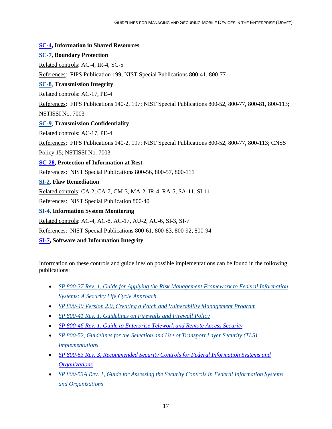#### **[SC-4,](http://web.nvd.nist.gov/view/800-53/control?controlName=SC-4&type=1) Information in Shared Resources**

#### **[SC-7,](http://web.nvd.nist.gov/view/800-53/control?controlName=SC-7&type=1) Boundary Protection**

Related controls: AC-4, IR-4, SC-5

References: FIPS Publication 199; NIST Special Publications 800-41, 800-77

#### **[SC-8](http://web.nvd.nist.gov/view/800-53/control?controlName=SC-8&type=1)**, **Transmission Integrity**

Related controls: AC-17, PE-4

References: FIPS Publications 140-2, 197; NIST Special Publications 800-52, 800-77, 800-81, 800-113; NSTISSI No. 7003

#### **[SC-9](http://web.nvd.nist.gov/view/800-53/control?controlName=SC-9&type=1)**, **Transmission Confidentiality**

Related controls: AC-17, PE-4

References: FIPS Publications 140-2, 197; NIST Special Publications 800-52, 800-77, 800-113; CNSS Policy 15; NSTISSI No. 7003

#### **[SC-28,](http://web.nvd.nist.gov/view/800-53/control?controlName=SC-28&type=1) Protection of Information at Rest**

References: NIST Special Publications 800-56, 800-57, 800-111

#### **[SI-2,](http://web.nvd.nist.gov/view/800-53/control?controlName=SI-2&type=1) Flaw Remediation**

Related controls: CA-2, CA-7, CM-3, MA-2, IR-4, RA-5, SA-11, SI-11

References: NIST Special Publication 800-40

#### **[SI-4](http://web.nvd.nist.gov/view/800-53/control?controlName=SI-4&type=1)**, **Information System Monitoring**

Related controls: AC-4, AC-8, AC-17, AU-2, AU-6, SI-3, SI-7

References: NIST Special Publications 800-61, 800-83, 800-92, 800-94

#### **[SI-7,](http://web.nvd.nist.gov/view/800-53/control?controlName=SI-7&type=1) Software and Information Integrity**

Information on these controls and guidelines on possible implementations can be found in the following publications:

- *SP 800-37 [Rev. 1, Guide for Applying the Risk Management Framework to Federal Information](http://csrc.nist.gov/publications/nistpubs/800-37-rev1/sp800-37-rev1-final.pdf)  [Systems: A Security Life Cycle Approach](http://csrc.nist.gov/publications/nistpubs/800-37-rev1/sp800-37-rev1-final.pdf)*
- *[SP 800-40 Version 2.0, Creating a Patch and Vulnerability Management Program](http://csrc.nist.gov/publications/nistpubs/800-40-Ver2/SP800-40v2.pdf)*
- *[SP 800-41 Rev. 1, Guidelines on Firewalls and Firewall Policy](http://csrc.nist.gov/publications/nistpubs/800-41-Rev1/sp800-41-rev1.pdf)*
- *SP 800-46 [Rev. 1, Guide to Enterprise Telework and Remote Access Security](http://csrc.nist.gov/publications/nistpubs/800-46-rev1/sp800-46r1.pdf)*
- *[SP 800-52, Guidelines for the Selection and Use](http://csrc.nist.gov/publications/nistpubs/800-52/SP800-52.pdf) of Transport Layer Security (TLS) [Implementations](http://csrc.nist.gov/publications/nistpubs/800-52/SP800-52.pdf)*
- *[SP 800-53 Rev. 3, Recommended Security Controls for Federal Information Systems and](http://csrc.nist.gov/publications/nistpubs/800-53-Rev3/sp800-53-rev3-final_updated-errata_05-01-2010.pdf) [Organizations](http://csrc.nist.gov/publications/nistpubs/800-53-Rev3/sp800-53-rev3-final_updated-errata_05-01-2010.pdf)*
- *[SP 800-53A Rev. 1, Guide for Assessing the Security Controls in Federal Information Systems](http://csrc.nist.gov/publications/nistpubs/800-53A-rev1/sp800-53A-rev1-final.pdf)  [and Organizations](http://csrc.nist.gov/publications/nistpubs/800-53A-rev1/sp800-53A-rev1-final.pdf)*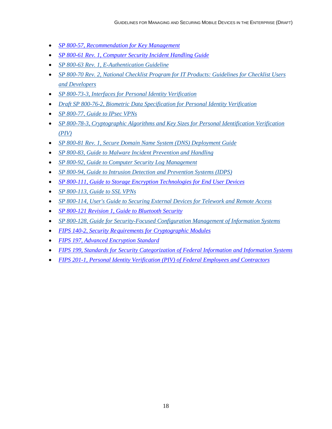- *[SP 800-57, Recommendation for Key Management](http://csrc.nist.gov/publications/nistpubs/800-57/sp800-57-Part1-revised2_Mar08-2007.pdf)*
- *[SP 800-61 Rev. 1, Computer Security Incident Handling Guide](http://csrc.nist.gov/publications/nistpubs/800-61-rev1/SP800-61rev1.pdf)*
- *SP 800-63 Rev. 1, [E-Authentication Guideline](http://csrc.nist.gov/publications/nistpubs/800-63-1/SP-800-63-1.pdf)*
- *[SP 800-70 Rev. 2, National Checklist Program for IT Products: Guidelines for Checklist Users](http://csrc.nist.gov/publications/nistpubs/800-70-rev2/SP800-70-rev2.pdf)  [and Developers](http://csrc.nist.gov/publications/nistpubs/800-70-rev2/SP800-70-rev2.pdf)*
- *[SP 800-73-3, Interfaces for Personal Identity Verification](http://csrc.nist.gov/publications/PubsSPs.html#800-73)*
- *[Draft SP 800-76-2, Biometric Data Specification for Personal Identity Verification](http://csrc.nist.gov/publications/drafts/800-76-2/Draft_SP800-76-2.pdf)*
- *[SP 800-77, Guide to IPsec VPNs](http://csrc.nist.gov/publications/nistpubs/800-77/sp800-77.pdf)*
- *[SP 800-78-3, Cryptographic Algorithms and Key Sizes for Personal Identification Verification](http://csrc.nist.gov/publications/nistpubs/800-78-3/sp800-78-3.pdf)  [\(PIV\)](http://csrc.nist.gov/publications/nistpubs/800-78-3/sp800-78-3.pdf)*
- *SP 800-81 [Rev. 1, Secure Domain Name System \(DNS\) Deployment Guide](http://csrc.nist.gov/publications/nistpubs/800-81r1/sp-800-81r1.pdf)*
- *[SP 800-83, Guide to Malware Incident Prevention and Handling](http://csrc.nist.gov/publications/nistpubs/800-83/SP800-83.pdf)*
- *[SP 800-92, Guide to Computer Security Log Management](http://csrc.nist.gov/publications/nistpubs/800-92/SP800-92.pdf)*
- *[SP 800-94, Guide to Intrusion Detection and Prevention Systems \(IDPS\)](http://csrc.nist.gov/publications/nistpubs/800-94/SP800-94.pdf)*
- *[SP 800-111, Guide to Storage Encryption Technologies for End User Devices](http://csrc.nist.gov/publications/nistpubs/800-111/SP800-111.pdf)*
- *[SP 800-113, Guide to SSL VPNs](http://csrc.nist.gov/publications/nistpubs/800-113/SP800-113.pdf)*
- *[SP 800-114, User's Guide to Securing External Devices for Telework and Remote Access](http://csrc.nist.gov/publications/nistpubs/800-114/SP800-114.pdf)*
- *SP 800-121 [Revision 1, Guide to Bluetooth Security](http://csrc.nist.gov/publications/nistpubs/800-121-rev1/sp800-121_rev1.pdf)*
- *[SP 800-128, Guide for Security-Focused Configuration Management of Information Systems](http://csrc.nist.gov/publications/nistpubs/800-128/sp800-128.pdf)*
- *[FIPS 140-2, Security Requirements for Cryptographic Modules](http://csrc.nist.gov/publications/fips/fips140-2/fips1402.pdf)*
- *[FIPS 197, Advanced Encryption Standard](http://csrc.nist.gov/publications/fips/fips197/fips-197.pdf)*
- *[FIPS 199, Standards for Security Categorization of Federal Information and Information Systems](http://csrc.nist.gov/publications/fips/fips199/FIPS-PUB-199-final.pdf)*
- *[FIPS 201-1, Personal Identity Verification \(PIV\) of Federal Employees and Contractors](http://csrc.nist.gov/publications/fips/fips201-1/FIPS-201-1-chng1.pdf)*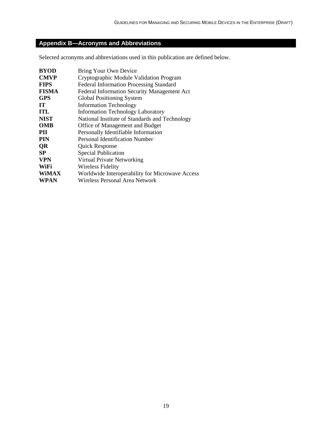#### <span id="page-29-0"></span>**Appendix B—Acronyms and Abbreviations**

Selected acronyms and abbreviations used in this publication are defined below.

| <b>BYOD</b>  | Bring Your Own Device                           |  |
|--------------|-------------------------------------------------|--|
| <b>CMVP</b>  | Cryptographic Module Validation Program         |  |
| <b>FIPS</b>  | <b>Federal Information Processing Standard</b>  |  |
| <b>FISMA</b> | Federal Information Security Management Act     |  |
| <b>GPS</b>   | <b>Global Positioning System</b>                |  |
| IT           | <b>Information Technology</b>                   |  |
| <b>ITL</b>   | <b>Information Technology Laboratory</b>        |  |
| <b>NIST</b>  | National Institute of Standards and Technology  |  |
| <b>OMB</b>   | Office of Management and Budget                 |  |
| PII          | Personally Identifiable Information             |  |
| <b>PIN</b>   | <b>Personal Identification Number</b>           |  |
| <b>OR</b>    | <b>Quick Response</b>                           |  |
| SP           | <b>Special Publication</b>                      |  |
| <b>VPN</b>   | Virtual Private Networking                      |  |
| WiFi         | <b>Wireless Fidelity</b>                        |  |
| <b>WiMAX</b> | Worldwide Interoperability for Microwave Access |  |
| <b>WPAN</b>  | <b>Wireless Personal Area Network</b>           |  |